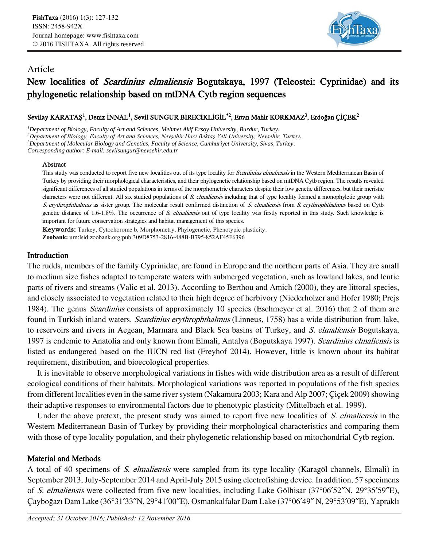

## Article

# New localities of Scardinius elmaliensis Bogutskaya, 1997 (Teleostei: Cyprinidae) and its phylogenetic relationship based on mtDNA Cytb region sequences

## Sevilay KARATAŞ<sup>1</sup>, Deniz İNNAL<sup>1</sup>, Sevil SUNGUR BİRECİKLİGİL<sup>\*2</sup>, Ertan Mahir KORKMAZ<sup>3</sup>, Erdoğan ÇİÇEK<sup>2</sup>

*Department of Biology, Faculty of Art and Sciences, Mehmet Akif Ersoy University, Burdur, Turkey. Department of Biology, Faculty of Art and Sciences, Nevşehir Hacı Bektaş Veli University, Nevşehir, Turkey. Department of Molecular Biology and Genetics, Faculty of Science, Cumhuriyet University, Sivas, Turkey. Corresponding author: E-mail: sevilsungur@nevsehir.edu.tr*

### Abstract

This study was conducted to report five new localities out of its type locality for *Scardinius elmaliensis* in the Western Mediterranean Basin of Turkey by providing their morphological characteristics, and their phylogenetic relationship based on mtDNA Cytb region. The results revealed significant differences of all studied populations in terms of the morphometric characters despite their low genetic differences, but their meristic characters were not different. All six studied populations of S. elmaliensis including that of type locality formed a monophyletic group with S. erythrophthalmus as sister group. The molecular result confirmed distinction of S. elmaliensis from S. erythrophthalmus based on Cytb genetic distance of 1.6-1.8%. The occurrence of S. elmaliensis out of type locality was firstly reported in this study. Such knowledge is important for future conservation strategies and habitat management of this species.

Keywords: Turkey, Cytochorome b, Morphometry, Phylogenetic, Phenotypic plasticity. **Zoobank:** urn:lsid:zoobank.org:pub:309D8753-2816-488B-B795-852AF45F6396

## Introduction

The rudds, members of the family Cyprinidae, are found in Europe and the northern parts of Asia. They are small to medium size fishes adapted to temperate waters with submerged vegetation, such as lowland lakes, and lentic parts of rivers and streams (Valic et al. 2013). According to Berthou and Amich (2000), they are littoral species, and closely associated to vegetation related to their high degree of herbivory (Niederholzer and Hofer 1980; Prejs 1984). The genus Scardinius consists of approximately 10 species (Eschmeyer et al. 2016) that 2 of them are found in Turkish inland waters. Scardinius erythrophthalmus (Linneus, 1758) has a wide distribution from lake, to reservoirs and rivers in Aegean, Marmara and Black Sea basins of Turkey, and S. elmaliensis Bogutskaya, 1997 is endemic to Anatolia and only known from Elmali, Antalya (Bogutskaya 1997). Scardinius elmaliensis is listed as endangered based on the IUCN red list (Freyhof 2014). However, little is known about its habitat requirement, distribution, and bioecological properties.

It is inevitable to observe morphological variations in fishes with wide distribution area as a result of different ecological conditions of their habitats. Morphological variations was reported in populations of the fish species from different localities even in the same river system (Nakamura 2003; Kara and Alp 2007; Çiçek 2009) showing their adaptive responses to environmental factors due to phenotypic plasticity (Mittelbach et al. 1999).

Under the above pretext, the present study was aimed to report five new localities of S. elmaliensis in the Western Mediterranean Basin of Turkey by providing their morphological characteristics and comparing them with those of type locality population, and their phylogenetic relationship based on mitochondrial Cytb region.

## Material and Methods

A total of 40 specimens of S. elmaliensis were sampled from its type locality (Karagöl channels, Elmali) in September 2013, July-September 2014 and April-July 2015 using electrofishing device. In addition, 57 specimens of S. elmaliensis were collected from five new localities, including Lake Gölhisar (37°06′52″N, 29°35′59″E), Çayboğazı Dam Lake (36°31′33″N, 29°41′00″E), Osmankalfalar Dam Lake (37°06′49″ N, 29°53′09″E), Yapraklı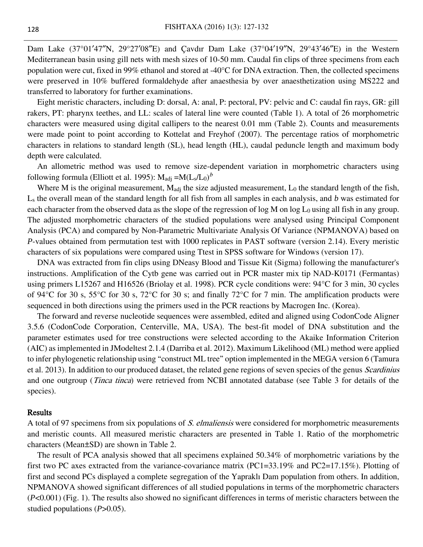Dam Lake (37°01′47″N, 29°27′08″E) and Çavdır Dam Lake (37°04′19″N, 29°43′46″E) in the Western Mediterranean basin using gill nets with mesh sizes of 10-50 mm. Caudal fin clips of three specimens from each population were cut, fixed in 99% ethanol and stored at -40°C for DNA extraction. Then, the collected specimens were preserved in 10% buffered formaldehyde after anaesthesia by over anaesthetization using MS222 and transferred to laboratory for further examinations.

Eight meristic characters, including D: dorsal, A: anal, P: pectoral, PV: pelvic and C: caudal fin rays, GR: gill rakers, PT: pharynx teethes, and LL: scales of lateral line were counted (Table 1). A total of 26 morphometric characters were measured using digital callipers to the nearest 0.01 mm (Table 2). Counts and measurements were made point to point according to Kottelat and Freyhof (2007). The percentage ratios of morphometric characters in relations to standard length (SL), head length (HL), caudal peduncle length and maximum body depth were calculated.

An allometric method was used to remove size-dependent variation in morphometric characters using following formula (Elliott et al. 1995):  $M_{\text{adj}} = M(L_s/L_0)^b$ 

Where M is the original measurement,  $M_{\text{adj}}$  the size adjusted measurement,  $L_0$  the standard length of the fish, L<sup>s</sup> the overall mean of the standard length for all fish from all samples in each analysis, and *b* was estimated for each character from the observed data as the slope of the regression of  $log M$  on  $log L_0$  using all fish in any group. The adjusted morphometric characters of the studied populations were analysed using Principal Component Analysis (PCA) and compared by Non-Parametric Multivariate Analysis Of Variance (NPMANOVA) based on *P*-values obtained from permutation test with 1000 replicates in PAST software (version 2.14). Every meristic characters of six populations were compared using Ttest in SPSS software for Windows (version 17).

DNA was extracted from fin clips using DNeasy Blood and Tissue Kit (Sigma) following the manufacturer's instructions. Amplification of the Cytb gene was carried out in PCR master mix tip NAD-K0171 (Fermantas) using primers L15267 and H16526 (Briolay et al. 1998). PCR cycle conditions were: 94°C for 3 min, 30 cycles of 94°C for 30 s, 55°C for 30 s, 72°C for 30 s; and finally 72°C for 7 min. The amplification products were sequenced in both directions using the primers used in the PCR reactions by Macrogen Inc. (Korea).

The forward and reverse nucleotide sequences were assembled, edited and aligned using CodonCode Aligner 3.5.6 (CodonCode Corporation, Centerville, MA, USA). The best-fit model of DNA substitution and the parameter estimates used for tree constructions were selected according to the Akaike Information Criterion (AIC) as implemented in JModeltest 2.1.4 (Darriba et al. 2012). Maximum Likelihood (ML) method were applied to infer phylogenetic relationship using "construct ML tree" option implemented in the MEGA version 6 (Tamura et al. 2013). In addition to our produced dataset, the related gene regions of seven species of the genus *Scardinius* and one outgroup (Tinca tinca) were retrieved from NCBI annotated database (see Table 3 for details of the species).

### Results

A total of 97 specimens from six populations of S. elmaliensis were considered for morphometric measurements and meristic counts. All measured meristic characters are presented in Table 1. Ratio of the morphometric characters (Mean±SD) are shown in Table 2.

The result of PCA analysis showed that all specimens explained 50.34% of morphometric variations by the first two PC axes extracted from the variance-covariance matrix (PC1=33.19% and PC2=17.15%). Plotting of first and second PCs displayed a complete segregation of the Yapraklı Dam population from others. In addition, NPMANOVA showed significant differences of all studied populations in terms of the morphometric characters (*P*<0.001) (Fig. 1). The results also showed no significant differences in terms of meristic characters between the studied populations (*P*>0.05).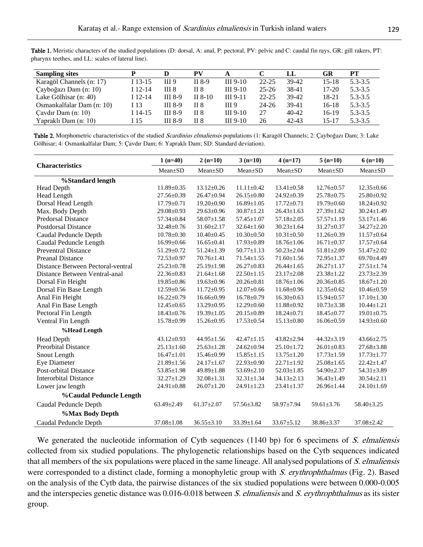| <b>Sampling sites</b>     |           | D                | <b>PV</b> |            |           | LL        | GR    | PТ          |
|---------------------------|-----------|------------------|-----------|------------|-----------|-----------|-------|-------------|
| Karagöl Channels (n: 17)  | I 13-15   | III 9            | II 8-9    | III $9-10$ | $22 - 25$ | 39-42     | 15-18 | $5.3 - 3.5$ |
| Çayboğazı Dam (n: 10)     | $I$ 12-14 | III <sub>8</sub> | II 8      | $III$ 9-10 | $25 - 26$ | 38-41     | 17-20 | $5.3 - 3.5$ |
| Lake Gölhisar (n: 40)     | $I$ 12-14 | <b>III</b> 8-9   | II $8-10$ | $III$ 9-11 | $22 - 25$ | 39-42     | 18-21 | $5.3 - 3.5$ |
| Osmankalfalar Dam (n: 10) | I 13      | <b>III</b> 8-9   | II 8      | III 9      | 24-26     | 39-41     | 16-18 | $5.3 - 3.5$ |
| Cavdir Dam $(n: 10)$      | I 14-15   | <b>III</b> 8-9   | II 8      | $III$ 9-10 | 27        | 40-42     | 16-19 | $5.3 - 3.5$ |
| Yapraklı Dam (n: 10)      | I 15      | <b>III</b> 8-9   | II 8      | $III$ 9-10 | 26        | $42 - 43$ | 15-17 | $5.3 - 3.5$ |

Table 1. Meristic characters of the studied populations (D: dorsal, A: anal, P: pectoral, PV: pelvic and C: caudal fin rays, GR: gill rakers, PT: pharynx teethes, and LL: scales of lateral line).

Table 2. Morphometric characteristics of the studied Scardinius elmaliensis populations (1: Karagöl Channels; 2: Çayboğazı Dam; 3: Lake Gölhisar; 4: Osmankalfalar Dam; 5: Çavdır Dam; 6: Yapraklı Dam; SD: Standard deviation).

|                                   | $1(n=40)$        | $2(n=10)$        | $3(n=10)$        | $4(n=17)$        | $5(n=10)$        | $6(n=10)$        |
|-----------------------------------|------------------|------------------|------------------|------------------|------------------|------------------|
| <b>Characteristics</b>            | $Mean \pm SD$    | $Mean+SD$        | $Mean \pm SD$    | $Mean \pm SD$    | $Mean \pm SD$    | $Mean \pm SD$    |
| %Standard length                  |                  |                  |                  |                  |                  |                  |
| <b>Head Depth</b>                 | $11.89 \pm 0.35$ | $13.12 \pm 0.26$ | $11.11 \pm 0.42$ | $13.41 \pm 0.58$ | $12.76 \pm 0.57$ | $12.35 \pm 0.66$ |
| <b>Head Length</b>                | $27.56 \pm 0.39$ | $26.47 \pm 0.94$ | $26.15 \pm 0.80$ | $24.92 \pm 0.39$ | $25.78 \pm 0.75$ | $25.80 \pm 0.92$ |
| Dorsal Head Length                | $17.79 \pm 0.71$ | $19.20 \pm 0.90$ | $16.89 \pm 1.05$ | $17.72 \pm 0.71$ | $19.79 \pm 0.60$ | $18.24 \pm 0.92$ |
| Max. Body Depth                   | $29.08 \pm 0.93$ | $29.63 \pm 0.96$ | $30.87 \pm 1.21$ | $26.43 \pm 1.63$ | $27.39 \pm 1.62$ | $30.24 \pm 1.49$ |
| <b>Predorsal Distance</b>         | 57.34±0.84       | $58.07 \pm 1.58$ | $57.45 \pm 1.07$ | $57.18 \pm 2.05$ | $57.57 \pm 1.19$ | $53.17 \pm 1.46$ |
| <b>Postdorsal Distance</b>        | $32.48 \pm 0.76$ | $31.60 \pm 2.17$ | $32.64 \pm 1.60$ | $30.23 \pm 1.64$ | $31.27 \pm 0.37$ | $34.27 \pm 2.20$ |
| Caudal Peduncle Depth             | $10.78 \pm 0.30$ | $10.40 \pm 0.45$ | $10.30 \pm 0.50$ | $10.31 \pm 0.50$ | $11.26 \pm 0.39$ | $11.57 \pm 0.64$ |
| Caudal Peduncle Length            | $16.99 \pm 0.66$ | $16.65 \pm 0.41$ | $17.93 \pm 0.89$ | $18.76 \pm 1.06$ | $16.71 \pm 0.37$ | $17.57 \pm 0.64$ |
| <b>Preventral Distance</b>        | $51.29 \pm 0.72$ | $51.24 \pm 1.39$ | $50.77 \pm 1.13$ | $50.23 \pm 2.04$ | $51.81 \pm 2.09$ | $51.47 \pm 2.02$ |
| <b>Preanal Distance</b>           | $72.53 \pm 0.97$ | $70.76 \pm 1.41$ | $71.54 \pm 1.55$ | $71.60 \pm 1.56$ | $72.95 \pm 1.37$ | 69.70 $\pm$ 4.49 |
| Distance Between Pectoral-ventral | $25.23 \pm 0.78$ | $25.19 \pm 1.98$ | $26.27 \pm 0.83$ | $26.44 \pm 1.65$ | $26.27 \pm 1.17$ | $27.51 \pm 1.74$ |
| Distance Between Ventral-anal     | $22.36 \pm 0.83$ | $21.64 \pm 1.68$ | $22.50 \pm 1.15$ | $23.17 \pm 2.08$ | $23.38 \pm 1.22$ | $23.73 \pm 2.39$ |
| Dorsal Fin Height                 | $19.85 \pm 0.86$ | $19.63 \pm 0.96$ | $20.26 \pm 0.81$ | $18.76 \pm 1.06$ | $20.36 \pm 0.85$ | $18.67 \pm 1.20$ |
| Dorsal Fin Base Length            | $12.59 \pm 0.56$ | $11.72 \pm 0.95$ | $12.07 \pm 0.66$ | $11.68 \pm 0.96$ | $12.35 \pm 0.62$ | $10.46 \pm 0.59$ |
| Anal Fin Height                   | $16.22 \pm 0.79$ | $16.66 \pm 0.99$ | $16.78 \pm 0.79$ | $16.30 \pm 0.63$ | $15.94 \pm 0.57$ | $17.10 \pm 1.30$ |
| Anal Fin Base Length              | $12.45 \pm 0.65$ | $13.29 \pm 0.95$ | $12.29 \pm 0.60$ | $11.88 \pm 0.92$ | $10.73 \pm 3.38$ | $10.44 \pm 1.21$ |
| Pectoral Fin Length               | $18.43 \pm 0.76$ | $19.39 \pm 1.05$ | $20.15 \pm 0.89$ | $18.24 \pm 0.71$ | $18.45 \pm 0.77$ | $19.01 \pm 0.75$ |
| Ventral Fin Length                | $15.78 \pm 0.99$ | $15.26 \pm 0.95$ | $17.53 \pm 0.54$ | $15.13 \pm 0.80$ | $16.06 \pm 0.59$ | $14.93 \pm 0.60$ |
| %Head Length                      |                  |                  |                  |                  |                  |                  |
| <b>Head Depth</b>                 | $43.12 \pm 0.93$ | $44.95 \pm 1.56$ | $42.47 \pm 1.15$ | $43.82 \pm 2.94$ | $44.32 \pm 3.19$ | $43.66 \pm 2.75$ |
| <b>Preorbital Distance</b>        | $25.13 \pm 1.60$ | $25.63 \pm 1.28$ | $24.62 \pm 0.94$ | $25.10 \pm 1.72$ | $26.01 \pm 0.83$ | $27.68 \pm 3.88$ |
| Snout Length                      | $16.47 \pm 1.01$ | $15.46 \pm 0.99$ | $15.85 \pm 1.15$ | $13.75 \pm 1.20$ | $17.73 \pm 1.59$ | $17.73 \pm 1.77$ |
| <b>Eye Diameter</b>               | $21.89 \pm 1.56$ | $24.17 \pm 1.67$ | $22.93 \pm 0.90$ | $22.71 \pm 1.92$ | $25.08 \pm 1.65$ | $22.42 \pm 1.47$ |
| <b>Post-orbital Distance</b>      | $53.85 \pm 1.98$ | 49.89±1.88       | $53.69 \pm 2.10$ | $52.03 \pm 1.85$ | 54.90±2.37       | $54.31 \pm 3.89$ |
| <b>Interorbital Distance</b>      | $32.27 \pm 1.29$ | $32.08 \pm 1.31$ | $32.31 \pm 1.34$ | $34.13 \pm 2.13$ | $36.43 \pm 1.49$ | $30.54 \pm 2.11$ |
| Lower jaw length                  | $24.91 \pm 0.88$ | $26.07 \pm 1.20$ | $24.91 \pm 1.23$ | $23.41 \pm 1.37$ | $26.96 \pm 1.44$ | $24.10 \pm 1.69$ |
| <b>%Caudal Peduncle Length</b>    |                  |                  |                  |                  |                  |                  |
| Caudal Peduncle Depth             | $63.49 \pm 2.49$ | $61.37 \pm 2.07$ | $57.56 \pm 3.82$ | $58.97 \pm 7.94$ | $59.61 \pm 3.76$ | $58.40 \pm 3.25$ |
| %Max Body Depth                   |                  |                  |                  |                  |                  |                  |
| Caudal Peduncle Depth             | $37.08 \pm 1.08$ | $36.55 \pm 3.10$ | $33.39 \pm 1.64$ | $33.67 \pm 5.12$ | $38.86 \pm 3.37$ | $37.08 \pm 2.42$ |

We generated the nucleotide information of Cytb sequences (1140 bp) for 6 specimens of S. elmaliensis collected from six studied populations. The phylogenetic relationships based on the Cytb sequences indicated that all members of the six populations were placed in the same lineage. All analysed populations of S. elmaliensis were corresponded to a distinct clade, forming a monophyletic group with S. erythrophthalmus (Fig. 2). Based on the analysis of the Cytb data, the pairwise distances of the six studied populations were between 0.000-0.005 and the interspecies genetic distance was 0.016-0.018 between S. elmaliensis and S. erythrophthalmus as its sister group.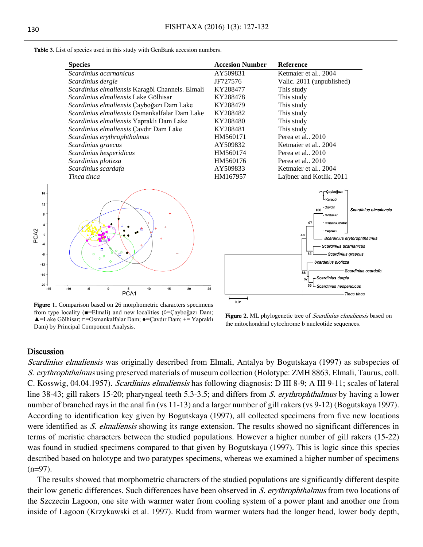Table 3. List of species used in this study with GenBank accesion numbers.

| <b>Species</b>                                       | <b>Accesion Number</b> | <b>Reference</b>          |
|------------------------------------------------------|------------------------|---------------------------|
| Scardinius acarnanicus                               | AY509831               | Ketmaier et al., 2004     |
| Scardinius dergle                                    | JF727576               | Valic. 2011 (unpublished) |
| Scardinius elmaliensis Karagöl Channels. Elmali      | KY288477               | This study                |
| <i>Scardinius elmaliensis</i> Lake Gölhisar          | KY288478               | This study                |
| Scardinius elmaliensis Çayboğazı Dam Lake            | KY288479               | This study                |
| <i>Scardinius elmaliensis</i> Osmankalfalar Dam Lake | KY288482               | This study                |
| <i>Scardinius elmaliensis</i> Yapraklı Dam Lake      | KY288480               | This study                |
| Scardinius elmaliensis Çavdır Dam Lake               | KY288481               | This study                |
| Scardinius erythrophthalmus                          | HM560171               | Perea et al., 2010        |
| Scardinius graecus                                   | AY509832               | Ketmaier et al., 2004     |
| Scardinius hesperidicus                              | HM560174               | Perea et al., 2010        |
| Scardinius plotizza                                  | HM560176               | Perea et al., 2010        |
| Scardinius scardafa                                  | AY509833               | Ketmaier et al., 2004     |
| Tinca tinca                                          | HM167957               | Lajbner and Kotlik. 2011  |



Figure 1. Comparison based on 26 morphometric characters specimens from type locality ( $\blacksquare =$ Elmali) and new localities ( $\lozenge =$ Çayboğazı Dam; ▲=Lake Gölhisar; □=Osmankalfalar Dam; ●=Çavdır Dam; **+**= Yapraklı Dam) by Principal Component Analysis.



Figure 2. ML phylogenetic tree of *Scardinius elmaliensis* based on the mitochondrial cytochrome b nucleotide sequences.

#### Discussion

Scardinius elmaliensis was originally described from Elmali, Antalya by Bogutskaya (1997) as subspecies of S. erythrophthalmus using preserved materials of museum collection (Holotype: ZMH 8863, Elmali, Taurus, coll. C. Kosswig, 04.04.1957). Scardinius elmaliensis has following diagnosis: D III 8-9; A III 9-11; scales of lateral line 38-43; gill rakers 15-20; pharyngeal teeth 5.3-3.5; and differs from S. erythrophthalmus by having a lower number of branched rays in the anal fin (vs 11-13) and a larger number of gill rakers (vs 9-12) (Bogutskaya 1997). According to identification key given by Bogutskaya (1997), all collected specimens from five new locations were identified as *S. elmaliensis* showing its range extension. The results showed no significant differences in terms of meristic characters between the studied populations. However a higher number of gill rakers (15-22) was found in studied specimens compared to that given by Bogutskaya (1997). This is logic since this species described based on holotype and two paratypes specimens, whereas we examined a higher number of specimens  $(n=97)$ .

The results showed that morphometric characters of the studied populations are significantly different despite their low genetic differences. Such differences have been observed in S. erythrophthalmus from two locations of the Szczecin Lagoon, one site with warmer water from cooling system of a power plant and another one from inside of Lagoon (Krzykawski et al. 1997). Rudd from warmer waters had the longer head, lower body depth,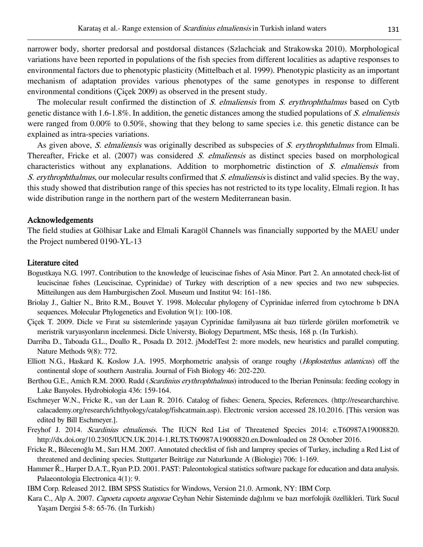narrower body, shorter predorsal and postdorsal distances (Szlachciak and Strakowska 2010). Morphological variations have been reported in populations of the fish species from different localities as adaptive responses to environmental factors due to phenotypic plasticity (Mittelbach et al. 1999). Phenotypic plasticity as an important mechanism of adaptation provides various phenotypes of the same genotypes in response to different environmental conditions (Çiçek 2009) as observed in the present study.

The molecular result confirmed the distinction of S. elmaliensis from S. erythrophthalmus based on Cytb genetic distance with 1.6-1.8%. In addition, the genetic distances among the studied populations of  $S$ . elmaliensis were ranged from 0.00% to 0.50%, showing that they belong to same species i.e. this genetic distance can be explained as intra-species variations.

As given above, S. elmaliensis was originally described as subspecies of S. erythrophthalmus from Elmali. Thereafter, Fricke et al. (2007) was considered S. elmaliensis as distinct species based on morphological characteristics without any explanations. Addition to morphometric distinction of S. elmaliensis from S. erythrophthalmus, our molecular results confirmed that S. elmaliensis is distinct and valid species. By the way, this study showed that distribution range of this species has not restricted to its type locality, Elmali region. It has wide distribution range in the northern part of the western Mediterranean basin.

## Acknowledgements

The field studies at Gölhisar Lake and Elmali Karagöl Channels was financially supported by the MAEU under the Project numbered 0190-YL-13

#### Literature cited

- Bogustkaya N.G. 1997. Contribution to the knowledge of leuciscinae fishes of Asia Minor. Part 2. An annotated check-list of leuciscinae fishes (Leuciscinae, Cyprinidae) of Turkey with description of a new species and two new subspecies. Mitteilungen aus dem Hamburgischen Zool. Museum und Institut 94: 161-186.
- Briolay J., Galtier N., Brito R.M., Bouvet Y. 1998. Molecular phylogeny of Cyprinidae inferred from cytochrome b DNA sequences. Molecular Phylogenetics and Evolution 9(1): 100-108.
- Çiçek T. 2009. Dicle ve Fırat su sistemlerinde yaşayan Cyprinidae familyasına ait bazı türlerde görülen morfometrik ve meristrik varyasyonların incelenmesi. Dicle Universty, Biology Department, MSc thesis, 168 p. (In Turkish).
- Darriba D., Taboada G.L., Doallo R., Posada D. 2012. jModelTest 2: more models, new heuristics and parallel computing. Nature Methods 9(8): 772.
- Elliott N.G., Haskard K. Koslow J.A. 1995. Morphometric analysis of orange roughy (Hoplostethus atlanticus) off the continental slope of southern Australia. Journal of Fish Biology 46: 202-220.
- Berthou G.E., Amich R.M. 2000. Rudd (*Scardinius erythrophthalmus*) introduced to the Iberian Peninsula: feeding ecology in Lake Banyoles. Hydrobiologia 436: 159-164.
- Eschmeyer W.N., Fricke R., van der Laan R. 2016. Catalog of fishes: Genera, Species, References. (http://researcharchive. calacademy.org/research/ichthyology/catalog/fishcatmain.asp). Electronic version accessed 28.10.2016. [This version was edited by Bill Eschmeyer.].
- Freyhof J. 2014. Scardinius elmaliensis. The IUCN Red List of Threatened Species 2014: e.T60987A19008820. http://dx.doi.org/10.2305/IUCN.UK.2014-1.RLTS.T60987A19008820.en.Downloaded on 28 October 2016.
- Fricke R., Bilecenoğlu M., Sarı H.M. 2007. Annotated checklist of fish and lamprey species of Turkey, including a Red List of threatened and declining species. Stuttgarter Beiträge zur Naturkunde A (Biologie) 706: 1-169.
- Hammer Ř., Harper D.A.T., Ryan P.D. 2001. PAST: Paleontological statistics software package for education and data analysis. Palaeontologia Electronica 4(1): 9.

IBM Corp. Released 2012. IBM SPSS Statistics for Windows, Version 21.0. Armonk, NY: IBM Corp.

Kara C., Alp A. 2007. Capoeta capoeta angorae Ceyhan Nehir Sisteminde dağılımı ve bazı morfolojik özellikleri. Türk Sucul Yaşam Dergisi 5-8: 65-76. (In Turkish)